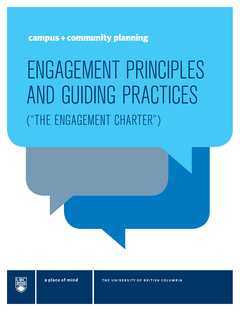campus + community planning

# ENGAGEMENT PRINCIPLES AND GUIDING PRACTICES ("THE ENGAGEMENT CHARTER")





a place of mind

THE UNIVERSITY OF BRITISH COLUMBIA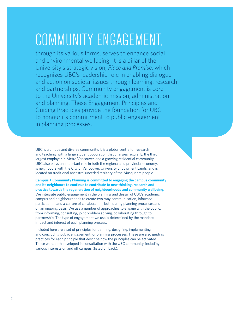## COMMUNITY ENGAGEMENT,

through its various forms, serves to enhance social and environmental wellbeing. It is a pillar of the University's strategic vision, *Place and Promise*, which recognizes UBC's leadership role in enabling dialogue and action on societal issues through learning, research and partnerships. Community engagement is core to the University's academic mission, administration and planning. These Engagement Principles and Guiding Practices provide the foundation for UBC to honour its commitment to public engagement in planning processes.

UBC is a unique and diverse community. It is a global centre for research and teaching, with a large student population that changes regularly, the third largest employer in Metro Vancouver, and a growing residential community. UBC also plays an important role in both the regional and provincial economy, is neighbours with the City of Vancouver, University Endowment Lands, and is located on traditional ancestral unceded territory of the Musqueam people.

**Campus + Community Planning is committed to engaging the campus community and its neighbours to continue to contribute to new thinking, research and practice towards the regeneration of neighbourhoods and community wellbeing.** We integrate public engagement in the planning and design of UBC's academic campus and neighbourhoods to create two-way communication, informed participation and a culture of collaboration, both during planning processes and on an ongoing basis. We use a number of approaches to engage with the public, from informing, consulting, joint problem solving, collaborating through to partnership. The type of engagement we use is determined by the mandate, impact and interest of each planning process.

Included here are a set of principles for defining, designing, implementing and concluding public engagement for planning processes. These are also guiding practices for each principle that describe how the principles can be activated. These were both developed in consultation with the UBC community, including various interests on and off campus (listed on back).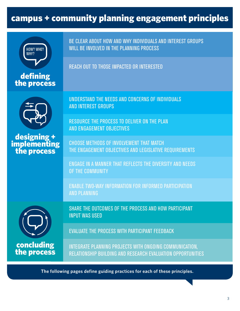### campus + community planning engagement principles



defining the process BE CLEAR ABOUT HOW AND WHY INDIVIDUALS AND INTEREST GROUPS WILL BE INVOLVED IN THE PLANNING PROCESS

REACH OUT TO THOSE IMPACTED OR INTERESTED



designing + implementing the process

UNDERSTAND THE NEEDS AND CONCERNS OF INDIVIDUALS AND INTEREST GROUPS

RESOURCE THE PROCESS TO DELIVER ON THE PLAN AND ENGAGEMENT OBJECTIVES

CHOOSE METHODS OF INVOLVEMENT THAT MATCH THE ENGAGEMENT OBJECTIVES AND LEGISLATIVE REQUIREMENTS

ENGAGE IN A MANNER THAT REFLECTS THE DIVERSITY AND NEEDS OF THE COMMUNITY

ENABLE TWO-WAY INFORMATION FOR INFORMED PARTICIPATION AND PLANNING



concluding the process SHARE THE OUTCOMES OF THE PROCESS AND HOW PARTICIPANT INPUT WAS USED

EVALUATE THE PROCESS WITH PARTICIPANT FEEDBACK

INTEGRATE PLANNING PROJECTS WITH ONGOING COMMUNICATION, RELATIONSHIP BUILDING AND RESEARCH EVALUATION OPPORTUNITIES

**The following pages define guiding practices for each of these principles.**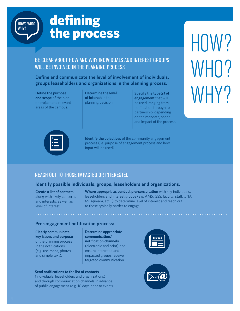

### defining the process

### BE CLEAR ABOUT HOW AND WHY INDIVIDUALS AND INTEREST GROUPS WILL BE INVOLVED IN THE PLANNING PROCESS

**Define and communicate the level of involvement of individuals, groups leaseholders and organizations in the planning process.**

**Define the purpose and scope** of the plan or project and relevant areas of the campus.

**Determine the level of interest** in the planning decision.

**Specify the type(s) of engagement** that will be used, ranging from notification through to partnership, depending on the mandate, scope and impact of the process. HOW? WHO? WHY?



**Identify the objectives** of the community engagement process (i.e. purpose of engagement process and how input will be used).

### REACH OUT TO THOSE IMPACTED OR INTERESTED

### **Identify possible individuals, groups, leaseholders and organizations.**

**Create a list of contacts**  along with likely concerns and interests, as well as level of interest.

**Where appropriate, conduct pre-consultation** with key individuals, leaseholders and interest groups (e.g. AMS, GSS, faculty, staff, UNA, Musqueam, etc…) to determine level of interest and reach out to those typically harder to engage.

### **Pre-engagement notification process:**

**Clearly communicate key issues and purpose**  of the planning process in the notifications (e.g. use maps, photos and simple text).

**Determine appropriate communication/ notification channels**  (electronic and print) and ensure interested and impacted groups receive targeted communication.

#### **Send notifications to the list of contacts**

(individuals, leaseholders and organizations) and through communication channels in advance of public engagement (e.g. 10 days prior to event).



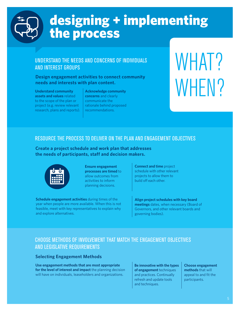

### designing + implementing the process

### UNDERSTAND THE NEEDS AND CONCERNS OF INDIVIDUALS AND INTEREST GROUPS

### **Design engagement activities to connect community needs and interests with plan content.**

#### **Understand community assets and values** related to the scope of the plan or project (e.g. review relevant research, plans and reports).

**Acknowledge community concerns** and clearly communicate the rationale behind proposed recommendations.

# WHAT? WHEN?

### RESOURCE THE PROCESS TO DELIVER ON THE PLAN AND ENGAGEMENT OBJECTIVES

**Create a project schedule and work plan that addresses the needs of participants, staff and decision makers.**



**Ensure engagement processes are timed** to allow outcomes from activities to inform planning decisions.

**Schedule engagement activities** during times of the year when people are more available. When this is not feasible, meet with key representatives to explain why and explore alternatives.

**Connect and time** project schedule with other relevant projects to allow them to build off each other.

**Align project schedules with key board meetings** dates, when necessary (Board of Governors, and other relevant boards and governing bodies).

### CHOOSE METHODS OF INVOLVEMENT THAT MATCH THE ENGAGEMENT OBJECTIVES AND LEGISLATIVE REQUIREMENTS

### **Selecting Engagement Methods**

**Use engagement methods that are most appropriate for the level of interest and impact** the planning decision will have on individuals, leaseholders and organizations.

**Be innovative with the types of engagement** techniques and practices. Continually refresh and update tools and techniques.

**Choose engagement methods** that will appeal to and fit the participants.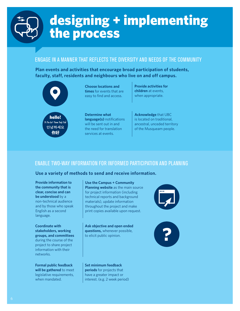

### designing + implementing the process

### ENGAGE IN A MANNER THAT REFLECTS THE DIVERSITY AND NEEDS OF THE COMMUNITY

**Plan events and activities that encourage broad participation of students, faculty, staff, residents and neighbours who live on and off campus.** 



**Provide activities for children** at events, when appropriate.

**Acknowledge** that UBC is located on traditional, ancestral, unceded territory of the Musqueam people.

### ENABLE TWO-WAY INFORMATION FOR INFORMED PARTICIPATION AND PLANNING

### **Use a variety of methods to send and receive information.**

**Provide information to the community that is clear, concise and can be understood** by a non-technical audience and by those who speak English as a second language.

**Coordinate with stakeholders, working groups, and committees**  during the course of the project to share project information with their networks.

**Formal public feedback will be gathered** to meet legislative requirements, when mandated.

**Use the Campus + Community Planning website** as the main source for project information (including technical reports and background materials), update information throughout the project and make print copies available upon request.

**Ask objective and open ended questions,** whenever possible, to elicit public opinion.

**Set minimum feedback periods** for projects that have a greater impact or interest. (e.g. 2 week period)

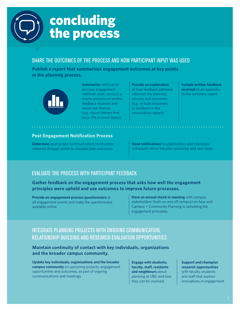

### concluding the process

### SHARE THE OUTCOMES OF THE PROCESS AND HOW PARTICIPANT INPUT WAS USED

**Publish a report that summarizes engagement outcomes at key points in the planning process.**



**Summarize** notification process, engagement methods used, conduct a theme analysis on written feedback received and report out themes (e.g. report themes that recur 5% or more times).

**Provide an explanation**  of how feedback gathered informed the planning process and outcomes (e.g. include responses to feedback in the consultation report).

**Include written feedback received** as an appendix to the summary report.

### **Post-Engagement Notification Process**

**Determine** appropriate communication/notification channels through which to circulate plan outcomes.

**Send notifications** to stakeholders and interested individuals about the plan outcomes and next steps.

### EVALUATE THE PROCESS WITH PARTICIPANT FEEDBACK

**Gather feedback on the engagement process that asks how well the engagement principles were upheld and use outcomes to improve future processes.**

**Provide an engagement process questionnaire** at all engagement events and make the questionnaire available online.

**Have an annual check-in meeting** with campus stakeholders (both on and off campus) on how well Campus + Community Planning is upholding the engagement principles.

### INTEGRATE PLANNING PROJECTS WITH ONGOING COMMUNICATION, RELATIONSHIP BUILDING AND RESEARCH EVALUATION OPPORTUNITIES

### **Maintain continuity of contact with key individuals, organizations and the broader campus community.**

**Update key individuals, organizations and the broader campus community** on upcoming projects, engagement opportunities and outcomes, as part of ongoing communications and meetings.

**Engage with students, faculty, staff, residents and neighbours** about planning at UBC and how they can be involved.

**Support and champion research opportunities**  with faculty, students and staff that explore innovations in engagement.